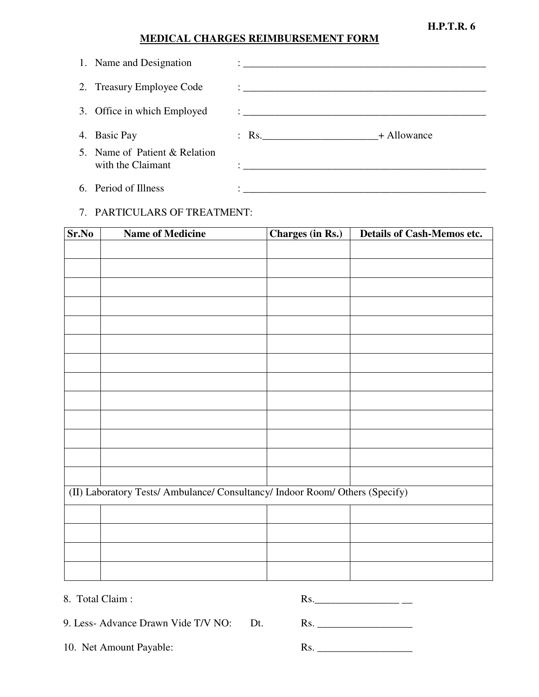**H.P.T.R. 6** 

## **MEDICAL CHARGES REIMBURSEMENT FORM**

| 1. Name and Designation                            | <u> 1986 - Johann Stein, marwolaethau a bhann an t-Amhainn an t-Amhainn an t-Amhainn an t-Amhainn an t-Amhainn an </u>       |  |
|----------------------------------------------------|------------------------------------------------------------------------------------------------------------------------------|--|
| 2. Treasury Employee Code                          |                                                                                                                              |  |
| 3. Office in which Employed                        |                                                                                                                              |  |
| 4. Basic Pay                                       | $\therefore$ Rs. $\qquad \qquad +$ Allowance                                                                                 |  |
| 5. Name of Patient & Relation<br>with the Claimant | <u> :</u><br>Le production de la production de la production de la production de la production de la production de la produc |  |
| 6. Period of Illness                               |                                                                                                                              |  |

## 7. PARTICULARS OF TREATMENT:

| Sr.No | <b>Name of Medicine</b>                                                      | Charges (in Rs.) | <b>Details of Cash-Memos etc.</b> |
|-------|------------------------------------------------------------------------------|------------------|-----------------------------------|
|       |                                                                              |                  |                                   |
|       |                                                                              |                  |                                   |
|       |                                                                              |                  |                                   |
|       |                                                                              |                  |                                   |
|       |                                                                              |                  |                                   |
|       |                                                                              |                  |                                   |
|       |                                                                              |                  |                                   |
|       |                                                                              |                  |                                   |
|       |                                                                              |                  |                                   |
|       |                                                                              |                  |                                   |
|       |                                                                              |                  |                                   |
|       |                                                                              |                  |                                   |
|       |                                                                              |                  |                                   |
|       | (II) Laboratory Tests/ Ambulance/ Consultancy/ Indoor Room/ Others (Specify) |                  |                                   |
|       |                                                                              |                  |                                   |
|       |                                                                              |                  |                                   |
|       |                                                                              |                  |                                   |
|       |                                                                              |                  |                                   |

8. Total Claim : R

| KS. |  |  |  |
|-----|--|--|--|

9. Less- Advance Drawn Vide T/V NO: Dt. Rs. \_\_\_\_\_\_\_\_\_\_\_\_\_\_\_\_\_\_

10. Net Amount Payable: Rs. \_\_\_\_\_\_\_\_\_\_\_\_\_\_\_\_\_\_